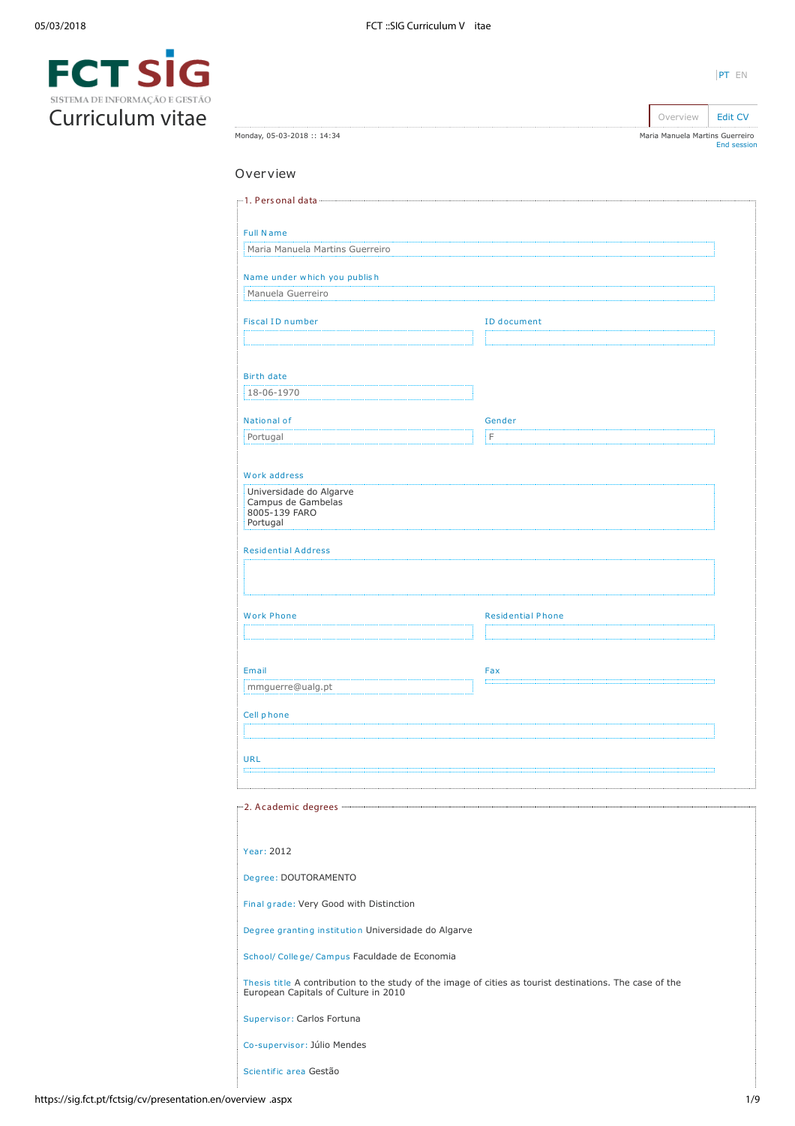Monday, 05-03-2018 :: 14:34

| $\blacksquare$                 |  |
|--------------------------------|--|
| SISTEMA DE INFORMAÇÃO E GESTÃO |  |
| Curriculum vitae               |  |

| Overview                                                                                                                                         |                          |
|--------------------------------------------------------------------------------------------------------------------------------------------------|--------------------------|
|                                                                                                                                                  |                          |
| <b>Full Name</b>                                                                                                                                 |                          |
| Maria Manuela Martins Guerreiro                                                                                                                  |                          |
| Name under which you publish                                                                                                                     |                          |
| Manuela Guerreiro                                                                                                                                |                          |
| <b>Fiscal ID number</b>                                                                                                                          | <b>ID</b> document       |
|                                                                                                                                                  |                          |
|                                                                                                                                                  |                          |
| Birth date                                                                                                                                       |                          |
| 18-06-1970                                                                                                                                       |                          |
| National of                                                                                                                                      | Gender                   |
| Portugal                                                                                                                                         | İF                       |
|                                                                                                                                                  |                          |
| Work address<br>Universidade do Algarve<br>Campus de Gambelas<br>8005-139 FARO<br>Portugal                                                       |                          |
| <b>Residential Address</b>                                                                                                                       |                          |
|                                                                                                                                                  |                          |
|                                                                                                                                                  |                          |
| <b>Work Phone</b>                                                                                                                                | <b>Residential Phone</b> |
|                                                                                                                                                  |                          |
|                                                                                                                                                  |                          |
| Email                                                                                                                                            | Fax                      |
| mmguerre@ualg.pt                                                                                                                                 |                          |
| Cell phone                                                                                                                                       |                          |
|                                                                                                                                                  |                          |
| <b>URL</b>                                                                                                                                       |                          |
|                                                                                                                                                  |                          |
|                                                                                                                                                  |                          |
|                                                                                                                                                  |                          |
| Year: 2012                                                                                                                                       |                          |
| Degree: DOUTORAMENTO                                                                                                                             |                          |
| Final grade: Very Good with Distinction                                                                                                          |                          |
| Degree granting institution Universidade do Algarve                                                                                              |                          |
| School/ College/ Campus Faculdade de Economia                                                                                                    |                          |
| Thesis title A contribution to the study of the image of cities as tourist destinations. The case of the<br>European Capitals of Culture in 2010 |                          |
| Supervisor: Carlos Fortuna                                                                                                                       |                          |
| Co-supervisor: Júlio Mendes                                                                                                                      |                          |

Scientific area Gestão

Overview **[Edit CV](https://sig.fct.pt/fctsig/cv/presentation.en/editCV.aspx)** Maria Manuela Martins Guerreiro [End session](https://sig.fct.pt/fctsig/cv/scripts/logout.aspx)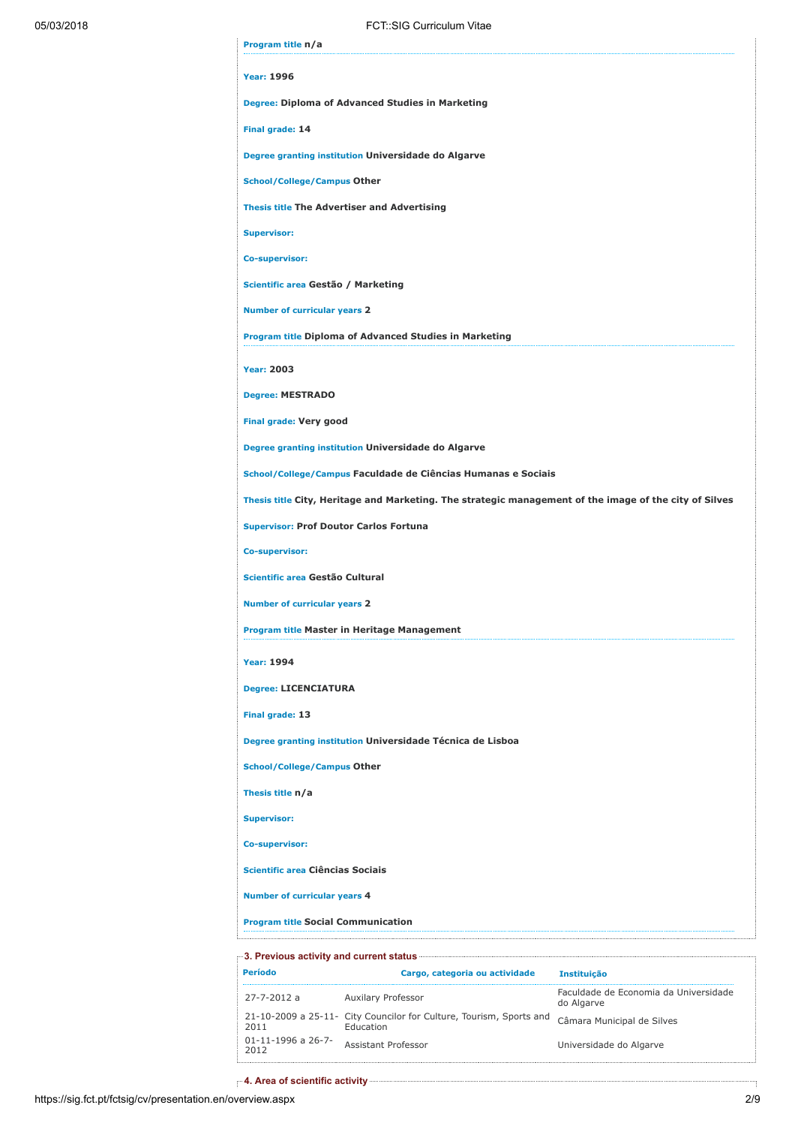| 05/03/2018 |                                           | FCT: SIG Curriculum Vitae                                                                                               |                                                     |  |
|------------|-------------------------------------------|-------------------------------------------------------------------------------------------------------------------------|-----------------------------------------------------|--|
|            | Program title n/a                         |                                                                                                                         |                                                     |  |
|            | <b>Year: 1996</b>                         |                                                                                                                         |                                                     |  |
|            |                                           | Degree: Diploma of Advanced Studies in Marketing                                                                        |                                                     |  |
|            | Final grade: 14                           |                                                                                                                         |                                                     |  |
|            |                                           | Degree granting institution Universidade do Algarve                                                                     |                                                     |  |
|            | <b>School/College/Campus Other</b>        |                                                                                                                         |                                                     |  |
|            |                                           | <b>Thesis title The Advertiser and Advertising</b>                                                                      |                                                     |  |
|            | <b>Supervisor:</b>                        |                                                                                                                         |                                                     |  |
|            | Co-supervisor:                            |                                                                                                                         |                                                     |  |
|            | Scientific area Gestão / Marketing        |                                                                                                                         |                                                     |  |
|            | <b>Number of curricular years 2</b>       |                                                                                                                         |                                                     |  |
|            |                                           | <b>Program title Diploma of Advanced Studies in Marketing</b>                                                           |                                                     |  |
|            | <b>Year: 2003</b>                         |                                                                                                                         |                                                     |  |
|            | <b>Degree: MESTRADO</b>                   |                                                                                                                         |                                                     |  |
|            | Final grade: Very good                    |                                                                                                                         |                                                     |  |
|            |                                           | Degree granting institution Universidade do Algarve                                                                     |                                                     |  |
|            |                                           | School/College/Campus Faculdade de Ciências Humanas e Sociais                                                           |                                                     |  |
|            |                                           | Thesis title City, Heritage and Marketing. The strategic management of the image of the city of Silves                  |                                                     |  |
|            |                                           | <b>Supervisor: Prof Doutor Carlos Fortuna</b>                                                                           |                                                     |  |
|            | Co-supervisor:                            |                                                                                                                         |                                                     |  |
|            | Scientific area Gestão Cultural           |                                                                                                                         |                                                     |  |
|            | <b>Number of curricular years 2</b>       |                                                                                                                         |                                                     |  |
|            |                                           | Program title Master in Heritage Management                                                                             |                                                     |  |
|            | <b>Year: 1994</b>                         |                                                                                                                         |                                                     |  |
|            | <b>Degree: LICENCIATURA</b>               |                                                                                                                         |                                                     |  |
|            | Final grade: 13                           |                                                                                                                         |                                                     |  |
|            |                                           | Degree granting institution Universidade Técnica de Lisboa                                                              |                                                     |  |
|            | <b>School/College/Campus Other</b>        |                                                                                                                         |                                                     |  |
|            | Thesis title n/a                          |                                                                                                                         |                                                     |  |
|            | <b>Supervisor:</b>                        |                                                                                                                         |                                                     |  |
|            | <b>Co-supervisor:</b>                     |                                                                                                                         |                                                     |  |
|            | Scientific area Ciências Sociais          |                                                                                                                         |                                                     |  |
|            | <b>Number of curricular years 4</b>       |                                                                                                                         |                                                     |  |
|            | <b>Program title Social Communication</b> |                                                                                                                         |                                                     |  |
|            |                                           | 3. Previous activity and current status <b>Communication and Status</b> and Status and Status and Status and Status and |                                                     |  |
|            | Período                                   | Cargo, categoria ou actividade                                                                                          | Instituição                                         |  |
|            | 27-7-2012 a                               | Auxilary Professor                                                                                                      | Faculdade de Economia da Universidade<br>do Algarve |  |

21-10-2009 a 25-11- 2011 City Councilor for Culture, Tourism, Sports and Education Câmara Municipal de Silves 01-11-1996 a 26-7- <sup>2012</sup> Assistant Professor Universidade do Algarve

per 4. Area of scientific activity **contractions** and the set of scientific activity **contract of the set of scientific** 

ŧ,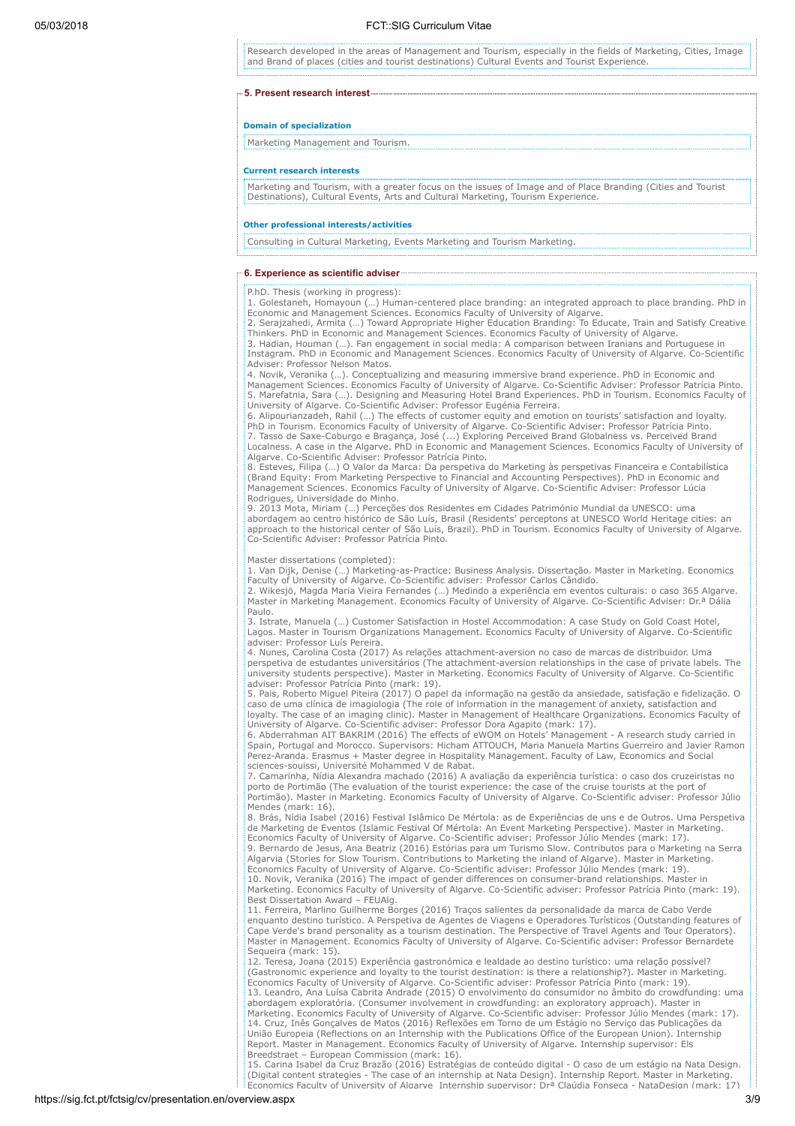Research developed in the areas of Management and Tourism, especially in the fields of Marketing, Cities, Image and Brand of places (cities and tourist destinations) Cultural Events and Tourist Experience.

#### 5. Present research interest

## Domain of specialization

Marketing Management and Tourism.

#### Current research interests

Marketing and Tourism, with a greater focus on the issues of Image and of Place Branding (Cities and Tourist Destinations), Cultural Events, Arts and Cultural Marketing, Tourism Experience.

## Other professional interests/activities

Consulting in Cultural Marketing, Events Marketing and Tourism Marketing.

#### 6. Experience as scientific adviser

## P.hD. Thesis (working in progress):

1. Golestaneh, Homayoun (…) Human-centered place branding: an integrated approach to place branding. PhD in Economic and Management Sciences. Economics Faculty of University of Algarve.

2. Serajzahedi, Armita (…) Toward Appropriate Higher Education Branding: To Educate, Train and Satisfy Creative Thinkers. PhD in Economic and Management Sciences. Economics Faculty of University of Algarve. 3. Hadian, Houman (…). Fan engagement in social media: A comparison between Iranians and Portuguese in

Instagram. PhD in Economic and Management Sciences. Economics Faculty of University of Algarve. Co-Scientific Adviser: Professor Nelson Matos.

4. Novik, Veranika (…). Conceptualizing and measuring immersive brand experience. PhD in Economic and Management Sciences. Economics Faculty of University of Algarve. Co-Scientific Adviser: Professor Patrícia Pinto. 5. Marefatnia, Sara (…). Designing and Measuring Hotel Brand Experiences. PhD in Tourism. Economics Faculty of University of Algarve. Co-Scientific Adviser: Professor Eugénia Ferreira.

6. Alipourianzadeh, Rahil (…) The effects of customer equity and emotion on tourists' satisfaction and loyalty. PhD in Tourism. Economics Faculty of University of Algarve. Co-Scientific Adviser: Professor Patrícia Pinto. 7. Tasso de Saxe-Coburgo e Bragança, José (...) Exploring Perceived Brand Globalness vs. Perceived Brand Localness. A case in the Algarve. PhD in Economic and Management Sciences. Economics Faculty of University of Algarve. Co-Scientific Adviser: Professor Patrícia Pinto.

8. Esteves, Filipa (…) O Valor da Marca: Da perspetiva do Marketing às perspetivas Financeira e Contabilística (Brand Equity: From Marketing Perspective to Financial and Accounting Perspectives). PhD in Economic and Management Sciences. Economics Faculty of University of Algarve. Co-Scientific Adviser: Professor Lúcia Rodrigues, Universidade do Minho.

9. 2013 Mota, Miriam (…) Perceções dos Residentes em Cidades Património Mundial da UNESCO: uma abordagem ao centro histórico de São Luís, Brasil (Residents' perceptons at UNESCO World Heritage cities: an approach to the historical center of São Luís, Brazil). PhD in Tourism. Economics Faculty of University of Algarve. Co-Scientific Adviser: Professor Patrícia Pinto.

Master dissertations (completed):

1. Van Dijk, Denise (…) Marketing-as-Practice: Business Analysis. Dissertação. Master in Marketing. Economics Faculty of University of Algarve. Co-Scientific adviser: Professor Carlos Cândido.

2. Wikesjö, Magda Maria Vieira Fernandes (…) Medindo a experiência em eventos culturais: o caso 365 Algarve. Master in Marketing Management. Economics Faculty of University of Algarve. Co-Scientific Adviser: Dr.ª Dália Paulo.

3. Istrate, Manuela (…) Customer Satisfaction in Hostel Accommodation: A case Study on Gold Coast Hotel, Lagos. Master in Tourism Organizations Management. Economics Faculty of University of Algarve. Co-Scientific adviser: Professor Luís Pereira.

4. Nunes, Carolina Costa (2017) As relações attachment-aversion no caso de marcas de distribuidor. Uma perspetiva de estudantes universitários (The attachment-aversion relationships in the case of private labels. The university students perspective). Master in Marketing. Economics Faculty of University of Algarve. Co-Scientific adviser: Professor Patrícia Pinto (mark: 19).

5. Pais, Roberto Miguel Piteira (2017) O papel da informação na gestão da ansiedade, satisfação e fidelização. O caso de uma clínica de imagiologia (The role of information in the management of anxiety, satisfaction and loyalty. The case of an imaging clinic). Master in Management of Healthcare Organizations. Economics Faculty of University of Algarve. Co-Scientific adviser: Professor Dora Agapito (mark: 17).

6. Abderrahman AIT BAKRIM (2016) The effects of eWOM on Hotels' Management - A research study carried in Spain, Portugal and Morocco. Supervisors: Hicham ATTOUCH, Maria Manuela Martins Guerreiro and Javier Ramon Perez-Aranda. Erasmus + Master degree in Hospitality Management. Faculty of Law, Economics and Social sciences-souissi, Université Mohammed V de Rabat.

7. Camarinha, Nídia Alexandra machado (2016) A avaliação da experiência turística: o caso dos cruzeiristas no porto de Portimão (The evaluation of the tourist experience: the case of the cruise tourists at the port of Portimão). Master in Marketing. Economics Faculty of University of Algarve. Co-Scientific adviser: Professor Júlio Mendes (mark: 16).

8. Brás, Nídia Isabel (2016) Festival Islâmico De Mértola: as de Experiências de uns e de Outros. Uma Perspetiva de Marketing de Eventos (Islamic Festival Of Mértola: An Event Marketing Perspective). Master in Marketing. Economics Faculty of University of Algarve. Co-Scientific adviser: Professor Júlio Mendes (mark: 17).

9. Bernardo de Jesus, Ana Beatriz (2016) Estórias para um Turismo Slow. Contributos para o Marketing na Serra Algarvia (Stories for Slow Tourism. Contributions to Marketing the inland of Algarve). Master in Marketing. Economics Faculty of University of Algarve. Co-Scientific adviser: Professor Júlio Mendes (mark: 19). 10. Novik, Veranika (2016) The impact of gender differences on consumer-brand relationships. Master in

Marketing. Economics Faculty of University of Algarve. Co-Scientific adviser: Professor Patrícia Pinto (mark: 19). Best Dissertation Award – FEUAlg.

11. Ferreira, Marlino Guilherme Borges (2016) Traços salientes da personalidade da marca de Cabo Verde enquanto destino turístico. A Perspetiva de Agentes de Viagens e Operadores Turísticos (Outstanding features of Cape Verde's brand personality as a tourism destination. The Perspective of Travel Agents and Tour Operators). Master in Management. Economics Faculty of University of Algarve. Co-Scientific adviser: Professor Bernardete Sequeira (mark: 15)

12. Teresa, Joana (2015) Experiência gastronómica e lealdade ao destino turístico: uma relação possível? (Gastronomic experience and loyalty to the tourist destination: is there a relationship?). Master in Marketing. Economics Faculty of University of Algarve. Co-Scientific adviser: Professor Patrícia Pinto (mark: 19). 13. Leandro, Ana Luísa Cabrita Andrade (2015) O envolvimento do consumidor no âmbito do crowdfunding: uma abordagem exploratória. (Consumer involvement in crowdfunding: an exploratory approach). Master in Marketing. Economics Faculty of University of Algarve. Co-Scientific adviser: Professor Júlio Mendes (mark: 17).<br>14. Cruz, Inês Gonçalves de Matos (2016) Reflexões em Torno de um Estágio no Serviço das Publicações da<br>União Report. Master in Management. Economics Faculty of University of Algarve. Internship supervisor: Els Breedstraet – European Commission (mark: 16).

15. Carina Isabel da Cruz Brazão (2016) Estratégias de conteúdo digital - O caso de um estágio na Nata Design. (Digital content strategies - The case of an internship at Nata Design). Internship Report. Master in Marketing. Economics Faculty of University of Algarve Internship supervisor: Drª Claúdia Fonseca - NataDesign (mark: 17)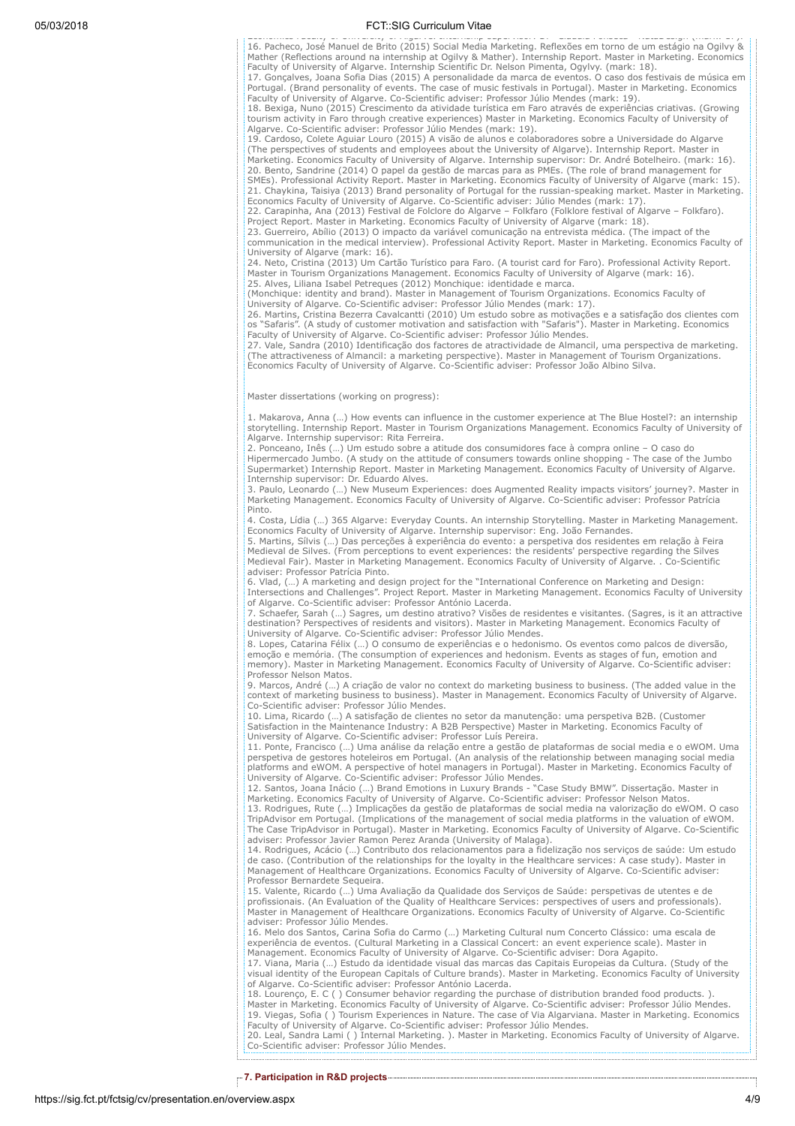additional causes of the control of the control of the control of the conduct of the conservation of the const<br>16. Pacheco, José Manuel de Brito (2015) Social Media Marketing. Reflexões em torno de um estágio na Ogilvy &<br>M Faculty of University of Algarve. Internship Scientific Dr. Nelson Pimenta, Ogylvy. (mark: 18).

17. Gonçalves, Joana Sofia Dias (2015) A personalidade da marca de eventos. O caso dos festivais de música em Portugal. (Brand personality of events. The case of music festivals in Portugal). Master in Marketing. Economics Faculty of University of Algarve. Co-Scientific adviser: Professor Júlio Mendes (mark: 19).

18. Bexiga, Nuno (2015) Crescimento da atividade turística em Faro através de experiências criativas. (Growing tourism activity in Faro through creative experiences) Master in Marketing. Economics Faculty of University of<br>Algarve. Co-Scientific adviser: Professor Júlio Mendes (mark: 19).<br>19. Cardoso, Colete Aguiar Louro (2015) A vi

(The perspectives of students and employees about the University of Algarve). Internship Report. Master in Marketing. Economics Faculty of University of Algarve. Internship supervisor: Dr. André Botelheiro. (mark: 16).<br>20. Bento, Sandrine (2014) O papel da gestão de marcas para as PMEs. (The role of brand management for<br>SMEs).

21. Chaykina, Taisiya (2013) Brand personality of Portugal for the russian-speaking market. Master in Marketing.<br>Economics Faculty of University of Algarve. Co-Scientific adviser: Júlio Mendes (mark: 17).<br>22. Carapinha, An

23. Guerreiro, Abílio (2013) O impacto da variável comunicação na entrevista médica. (The impact of the communication in the medical interview). Professional Activity Report. Master in Marketing. Economics Faculty of<br>University of Algarve (mark: 16).<br>24. Neto, Cristina (2013) Um Cartão Turístico para Faro. (A tourist card fo

Master in Tourism Organizations Management. Economics Faculty of University of Algarve (mark: 16).

25. Alves, Liliana Isabel Petreques (2012) Monchique: identidade e marca. (Monchique: identity and brand). Master in Management of Tourism Organizations. Economics Faculty of University of Algarve. Co-Scientific adviser: Professor Júlio Mendes (mark: 17).

26. Martins, Cristina Bezerra Cavalcantti (2010) Um estudo sobre as motivações e a satisfação dos clientes com<br>os "Safaris". (A study of customer motivation and satisfaction with "Safaris"). Master in Marketing. Economics<br>

27. Vale, Sandra (2010) Identificação dos factores de atractividade de Almancil, uma perspectiva de marketing. (The attractiveness of Almancil: a marketing perspective). Master in Management of Tourism Organizations. Economics Faculty of University of Algarve. Co-Scientific adviser: Professor João Albino Silva.

Master dissertations (working on progress):

1. Makarova, Anna (…) How events can influence in the customer experience at The Blue Hostel?: an internship storytelling. Internship Report. Master in Tourism Organizations Management. Economics Faculty of University of Algarve. Internship supervisor: Rita Ferreira.

2. Ponceano, Inês (…) Um estudo sobre a atitude dos consumidores face à compra online – O caso do Hipermercado Jumbo. (A study on the attitude of consumers towards online shopping - The case of the Jumbo Supermarket) Internship Report. Master in Marketing Management. Economics Faculty of University of Algarve.

Internship supervisor: Dr. Eduardo Alves. 3. Paulo, Leonardo (…) New Museum Experiences: does Augmented Reality impacts visitors' journey?. Master in Marketing Management. Economics Faculty of University of Algarve. Co-Scientific adviser: Professor Patrícia Pinto.

4. Costa, Lídia (…) 365 Algarve: Everyday Counts. An internship Storytelling. Master in Marketing Management.

Economics Faculty of University of Algarve. Internship supervisor: Eng. João Fernandes.<br>5. Martins, Sílvis (...) Das perceções à experiência do evento: a perspetiva dos residentes em relação à Feira<br>Medieval de Silves. (Fr Medieval Fair). Master in Marketing Management. Economics Faculty of University of Algarve. . Co-Scientific

adviser: Professor Patrícia Pinto. 6. Vlad, (…) A marketing and design project for the "International Conference on Marketing and Design: Intersections and Challenges". Project Report. Master in Marketing Management. Economics Faculty of University of Algarve. Co-Scientific adviser: Professor António Lacerda.

7. Schaefer, Sarah (…) Sagres, um destino atrativo? Visões de residentes e visitantes. (Sagres, is it an attractive destination? Perspectives of residents and visitors). Master in Marketing Management. Economics Faculty of University of Algarve. Co-Scientific adviser: Professor Júlio Mendes.

8. Lopes, Catarina Félix (…) O consumo de experiências e o hedonismo. Os eventos como palcos de diversão, emoção e memória. (The consumption of experiences and hedonism. Events as stages of fun, emotion and memory). Master in Marketing Management. Economics Faculty of University of Algarve. Co-Scientific adviser: Professor Nelson Matos.

9. Marcos, André (…) A criação de valor no context do marketing business to business. (The added value in the context of marketing business to business). Master in Management. Economics Faculty of University of Algarve. Co-Scientific adviser: Professor Júlio Mendes.

10. Lima, Ricardo (…) A satisfação de clientes no setor da manutenção: uma perspetiva B2B. (Customer Satisfaction in the Maintenance Industry: A B2B Perspective) Master in Marketing. Economics Faculty of<br>University of Algarve. Co-Scientific adviser: Professor Luís Pereira.<br>11. Ponte, Francisco (...) Uma análise da relação

perspetiva de gestores hoteleiros em Portugal. (An analysis of the relationship between managing social media platforms and eWOM. A perspective of hotel managers in Portugal). Master in Marketing. Economics Faculty of<br>University of Algarve. Co-Scientific adviser: Professor Júlio Mendes.<br>12. Santos, Joana Inácio (...) Brand Emotion

Marketing. Economics Faculty of University of Algarve. Co-Scientific adviser: Professor Nelson Matos.

13. Rodrigues, Rute (…) Implicações da gestão de plataformas de social media na valorização do eWOM. O caso TripAdvisor em Portugal. (Implications of the management of social media platforms in the valuation of eWOM. The Case TripAdvisor in Portugal). Master in Marketing. Economics Faculty of University of Algarve. Co-Scientific adviser: Professor Javier Ramon Perez Aranda (University of Malaga).

14. Rodrigues, Acácio (…) Contributo dos relacionamentos para a fidelização nos serviços de saúde: Um estudo de caso. (Contribution of the relationships for the loyalty in the Healthcare services: A case study). Master in Management of Healthcare Organizations. Economics Faculty of University of Algarve. Co-Scientific adviser: Professor Bernardete Sequeira.

15. Valente, Ricardo (…) Uma Avaliação da Qualidade dos Serviços de Saúde: perspetivas de utentes e de profissionais. (An Evaluation of the Quality of Healthcare Services: perspectives of users and professionals). Master in Management of Healthcare Organizations. Economics Faculty of University of Algarve. Co-Scientific adviser: Professor Júlio Mendes.

16. Melo dos Santos, Carina Sofia do Carmo (...) Marketing Cultural num Concerto Clássico: uma escala de<br>experiência de eventos. (Cultural Marketing in a Classical Concert: an event experience scale). Master in<br>Management.

17. Viana, Maria (…) Estudo da identidade visual das marcas das Capitais Europeias da Cultura. (Study of the visual identity of the European Capitals of Culture brands). Master in Marketing. Economics Faculty of University

of Algarve. Co-Scientific adviser: Professor António Lacerda.<br>18. Lourenço, E. C ( ) Consumer behavior regarding the purchase of distribution branded food products. ).<br>Master in Marketing. Economics Faculty of University o

20. Leal, Sandra Lami ( ) Internal Marketing. ). Master in Marketing. Economics Faculty of University of Algarve. Co-Scientific adviser: Professor Júlio Mendes.

7. Participation in R&D projects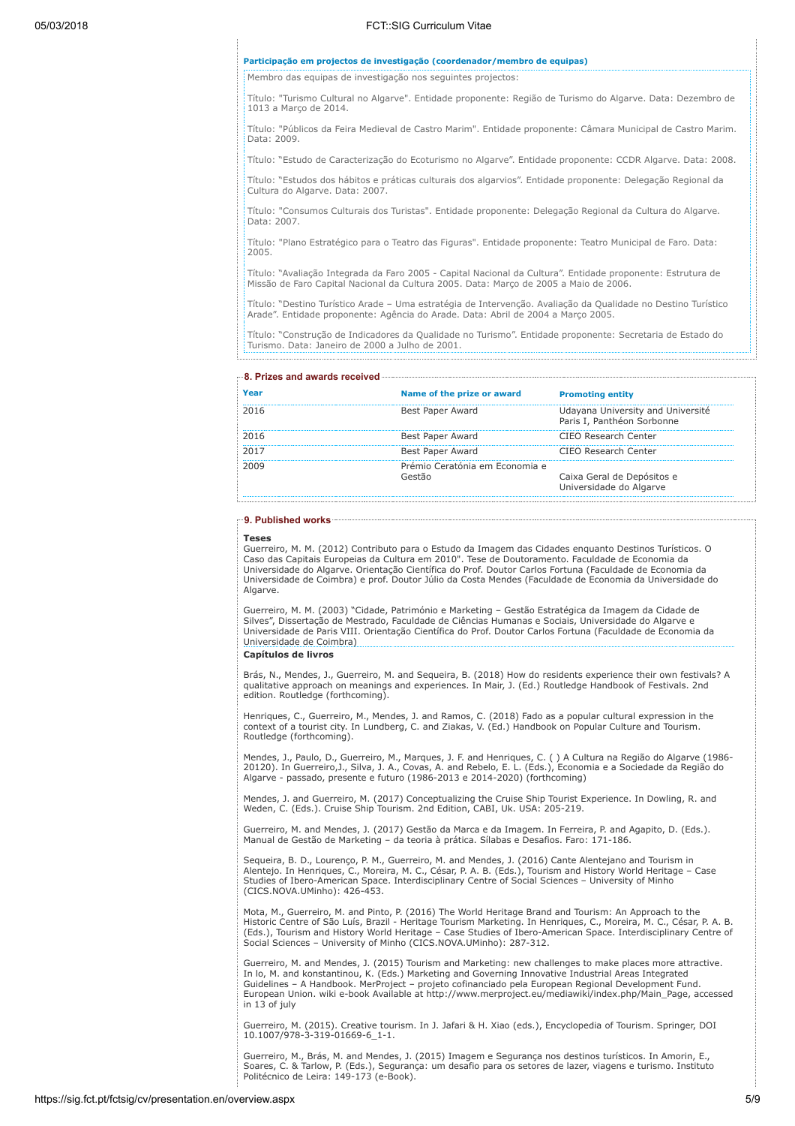#### Participação em projectos de investigação (coordenador/membro de equipas)

Membro das equipas de investigação nos seguintes projectos:

Título: "Turismo Cultural no Algarve". Entidade proponente: Região de Turismo do Algarve. Data: Dezembro de 1013 a Março de 2014.

Título: "Públicos da Feira Medieval de Castro Marim". Entidade proponente: Câmara Municipal de Castro Marim. Data: 2009.

Título: "Estudo de Caracterização do Ecoturismo no Algarve". Entidade proponente: CCDR Algarve. Data: 2008.

Título: "Estudos dos hábitos e práticas culturais dos algarvios". Entidade proponente: Delegação Regional da Cultura do Algarve. Data: 2007.

Título: "Consumos Culturais dos Turistas". Entidade proponente: Delegação Regional da Cultura do Algarve. Data: 2007.

Título: "Plano Estratégico para o Teatro das Figuras". Entidade proponente: Teatro Municipal de Faro. Data: 2005.

Título: "Avaliação Integrada da Faro 2005 - Capital Nacional da Cultura". Entidade proponente: Estrutura de Missão de Faro Capital Nacional da Cultura 2005. Data: Março de 2005 a Maio de 2006.

Título: "Destino Turístico Arade – Uma estratégia de Intervenção. Avaliação da Qualidade no Destino Turístico Arade". Entidade proponente: Agência do Arade. Data: Abril de 2004 a Março 2005.

Título: "Construção de Indicadores da Qualidade no Turismo". Entidade proponente: Secretaria de Estado do Turismo. Data: Janeiro de 2000 a Julho de 2001.

| Year | Name of the prize or award               | <b>Promoting entity</b>                                         |
|------|------------------------------------------|-----------------------------------------------------------------|
| 2016 | Best Paper Award                         | Udayana University and Université<br>Paris I, Panthéon Sorbonne |
| 2016 | Best Paper Award                         | CIFO Research Center                                            |
| 2017 | Best Paper Award                         | CIFO Research Center                                            |
| 2009 | Prémio Ceratónia em Economia e<br>Gestão | Caixa Geral de Depósitos e<br>Universidade do Algarve           |

### 9. Published works

```
Teses
```
Guerreiro, M. M. (2012) Contributo para o Estudo da Imagem das Cidades enquanto Destinos Turísticos. O Caso das Capitais Europeias da Cultura em 2010". Tese de Doutoramento. Faculdade de Economia da Universidade do Algarve. Orientação Científica do Prof. Doutor Carlos Fortuna (Faculdade de Economia da Universidade de Coimbra) e prof. Doutor Júlio da Costa Mendes (Faculdade de Economia da Universidade do Algarve.

Guerreiro, M. M. (2003) "Cidade, Património e Marketing – Gestão Estratégica da Imagem da Cidade de Silves", Dissertação de Mestrado, Faculdade de Ciências Humanas e Sociais, Universidade do Algarve e Universidade de Paris VIII. Orientação Científica do Prof. Doutor Carlos Fortuna (Faculdade de Economia da Universidade de Coimbra)

# Capítulos de livros

Brás, N., Mendes, J., Guerreiro, M. and Sequeira, B. (2018) How do residents experience their own festivals? A qualitative approach on meanings and experiences. In Mair, J. (Ed.) Routledge Handbook of Festivals. 2nd edition. Routledge (forthcoming).

Henriques, C., Guerreiro, M., Mendes, J. and Ramos, C. (2018) Fado as a popular cultural expression in the context of a tourist city. In Lundberg, C. and Ziakas, V. (Ed.) Handbook on Popular Culture and Tourism. Routledge (forthcoming).

Mendes, J., Paulo, D., Guerreiro, M., Marques, J. F. and Henriques, C. ( ) A Cultura na Região do Algarve (1986-<br>20120). In Guerreiro,J., Silva, J. A., Covas, A. and Rebelo, E. L. (Eds.), Economia e a Sociedade da Região d

Mendes, J. and Guerreiro, M. (2017) Conceptualizing the Cruise Ship Tourist Experience. In Dowling, R. and Weden, C. (Eds.). Cruise Ship Tourism. 2nd Edition, CABI, Uk. USA: 205-219.

Guerreiro, M. and Mendes, J. (2017) Gestão da Marca e da Imagem. In Ferreira, P. and Agapito, D. (Eds.). Manual de Gestão de Marketing – da teoria à prática. Sílabas e Desafios. Faro: 171-186.

Sequeira, B. D., Lourenço, P. M., Guerreiro, M. and Mendes, J. (2016) Cante Alentejano and Tourism in<br>Alentejo. In Henriques, C., Moreira, M. C., César, P. A. B. (Eds.), Tourism and History World Heritage – Case<br>Studies of (CICS.NOVA.UMinho): 426-453.

Mota, M., Guerreiro, M. and Pinto, P. (2016) The World Heritage Brand and Tourism: An Approach to the<br>Historic Centre of São Luís, Brazil - Heritage Tourism Marketing. In Henriques, C., Moreira, M. C., César, P. A. B.<br>(Eds Social Sciences – University of Minho (CICS.NOVA.UMinho): 287-312.

Guerreiro, M. and Mendes, J. (2015) Tourism and Marketing: new challenges to make places more attractive. In lo, M. and konstantinou, K. (Eds.) Marketing and Governing Innovative Industrial Areas Integrated Guidelines – A Handbook. MerProject – projeto cofinanciado pela European Regional Development Fund. European Union. wiki e-book Available at http://www.merproject.eu/mediawiki/index.php/Main\_Page, accessed in 13 of july

Guerreiro, M. (2015). Creative tourism. In J. Jafari & H. Xiao (eds.), Encyclopedia of Tourism. Springer, DOI 10.1007/978-3-319-01669-6\_1-1.

Guerreiro, M., Brás, M. and Mendes, J. (2015) Imagem e Segurança nos destinos turísticos. In Amorin, E.,<br>Soares, C. & Tarlow, P. (Eds.), Segurança: um desafio para os setores de lazer, viagens e turismo. Instituto<br>Politécn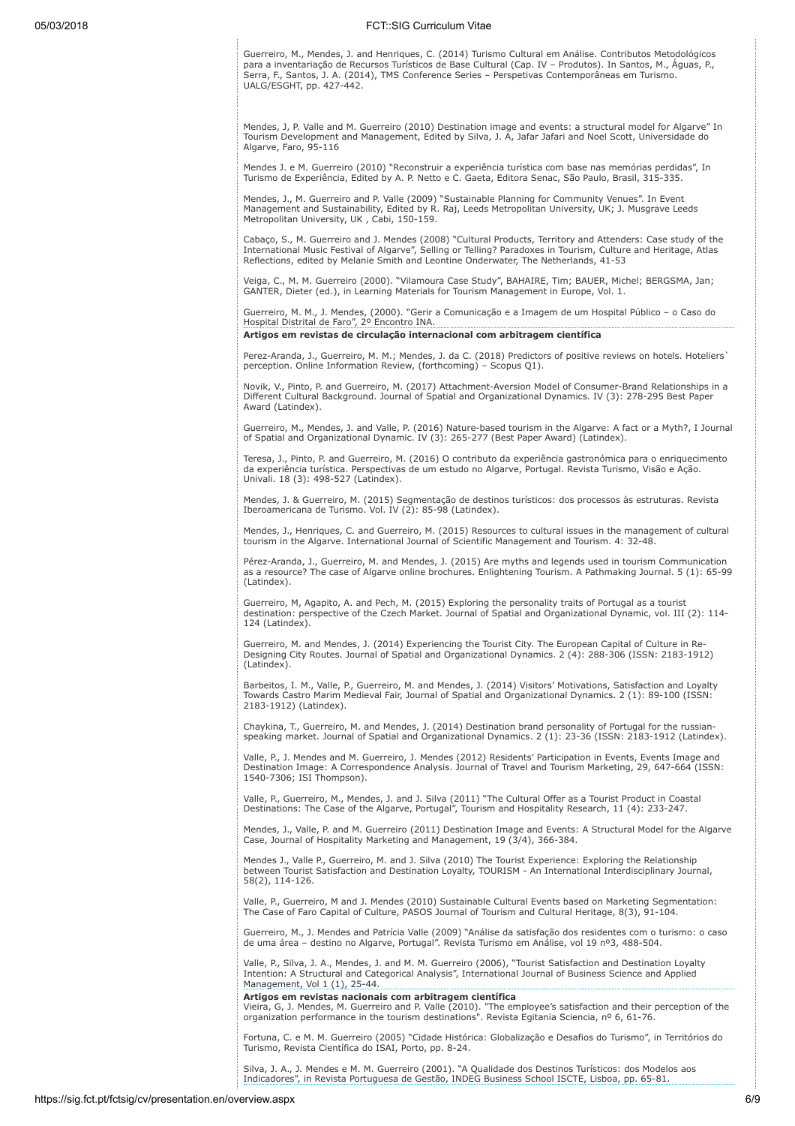Guerreiro, M., Mendes, J. and Henriques, C. (2014) Turismo Cultural em Análise. Contributos Metodológicos para a inventariação de Recursos Turísticos de Base Cultural (Cap. IV – Produtos). In Santos, M., Águas, P., Serra, F., Santos, J. A. (2014), TMS Conference Series – Perspetivas Contemporâneas em Turismo. UALG/ESGHT, pp. 427-442.

Mendes, J, P. Valle and M. Guerreiro (2010) Destination image and events: a structural model for Algarve" In Tourism Development and Management, Edited by Silva, J. A, Jafar Jafari and Noel Scott, Universidade do Algarve, Faro, 95-116

Mendes J. e M. Guerreiro (2010) "Reconstruir a experiência turística com base nas memórias perdidas", In Turismo de Experiência, Edited by A. P. Netto e C. Gaeta, Editora Senac, São Paulo, Brasil, 315-335.

Mendes, J., M. Guerreiro and P. Valle (2009) "Sustainable Planning for Community Venues". In Event Management and Sustainability, Edited by R. Raj, Leeds Metropolitan University, UK; J. Musgrave Leeds Metropolitan University, UK , Cabi, 150-159.

Cabaço, S., M. Guerreiro and J. Mendes (2008) "Cultural Products, Territory and Attenders: Case study of the<br>International Music Festival of Algarve", Selling or Telling? Paradoxes in Tourism, Culture and Heritage, Atlas<br>R

Veiga, C., M. M. Guerreiro (2000). "Vilamoura Case Study", BAHAIRE, Tim; BAUER, Michel; BERGSMA, Jan; GANTER, Dieter (ed.), in Learning Materials for Tourism Management in Europe, Vol. 1.

Guerreiro, M. M., J. Mendes, (2000). "Gerir a Comunicação e a Imagem de um Hospital Público – o Caso do Hospital Distrital de Faro", 2º Encontro INA.

# Artigos em revistas de circulação internacional com arbitragem científica

Perez-Aranda, J., Guerreiro, M. M.; Mendes, J. da C. (2018) Predictors of positive reviews on hotels. Hoteliers` perception. Online Information Review, (forthcoming) – Scopus Q1).

Novik, V., Pinto, P. and Guerreiro, M. (2017) Attachment-Aversion Model of Consumer-Brand Relationships in a Different Cultural Background. Journal of Spatial and Organizational Dynamics. IV (3): 278-295 Best Paper Award (Latindex).

Guerreiro, M., Mendes, J. and Valle, P. (2016) Nature-based tourism in the Algarve: A fact or a Myth?, I Journal of Spatial and Organizational Dynamic. IV (3): 265-277 (Best Paper Award) (Latindex).

Teresa, J., Pinto, P. and Guerreiro, M. (2016) O contributo da experiência gastronómica para o enriquecimento da experiência turística. Perspectivas de um estudo no Algarve, Portugal. Revista Turismo, Visão e Ação. Univali. 18 (3): 498-527 (Latindex).

Mendes, J. & Guerreiro, M. (2015) Segmentação de destinos turísticos: dos processos às estruturas. Revista Iberoamericana de Turismo. Vol. IV (2): 85-98 (Latindex).

Mendes, J., Henriques, C. and Guerreiro, M. (2015) Resources to cultural issues in the management of cultural tourism in the Algarve. International Journal of Scientific Management and Tourism. 4: 32-48.

Pérez-Aranda, J., Guerreiro, M. and Mendes, J. (2015) Are myths and legends used in tourism Communication as a resource? The case of Algarve online brochures. Enlightening Tourism. A Pathmaking Journal. 5 (1): 65-99 (Latindex).

Guerreiro, M, Agapito, A. and Pech, M. (2015) Exploring the personality traits of Portugal as a tourist destination: perspective of the Czech Market. Journal of Spatial and Organizational Dynamic, vol. III (2): 114- 124 (Latindex).

Guerreiro, M. and Mendes, J. (2014) Experiencing the Tourist City. The European Capital of Culture in Re-Designing City Routes. Journal of Spatial and Organizational Dynamics. 2 (4): 288-306 (ISSN: 2183-1912) (Latindex).

Barbeitos, I. M., Valle, P., Guerreiro, M. and Mendes, J. (2014) Visitors' Motivations, Satisfaction and Loyalty Towards Castro Marim Medieval Fair, Journal of Spatial and Organizational Dynamics. 2 (1): 89-100 (ISSN: 2183-1912) (Latindex).

Chaykina, T., Guerreiro, M. and Mendes, J. (2014) Destination brand personality of Portugal for the russian-speaking market. Journal of Spatial and Organizational Dynamics. 2 (1): 23-36 (ISSN: 2183-1912 (Latindex).

Valle, P., J. Mendes and M. Guerreiro, J. Mendes (2012) Residents' Participation in Events, Events Image and Destination Image: A Correspondence Analysis. Journal of Travel and Tourism Marketing, 29, 647-664 (ISSN: 1540-7306; ISI Thompson).

Valle, P., Guerreiro, M., Mendes, J. and J. Silva (2011) "The Cultural Offer as a Tourist Product in Coastal Destinations: The Case of the Algarve, Portugal", Tourism and Hospitality Research, 11 (4): 233-247.

Mendes, J., Valle, P. and M. Guerreiro (2011) Destination Image and Events: A Structural Model for the Algarve Case, Journal of Hospitality Marketing and Management, 19 (3/4), 366-384.

Mendes J., Valle P., Guerreiro, M. and J. Silva (2010) The Tourist Experience: Exploring the Relationship between Tourist Satisfaction and Destination Loyalty, TOURISM - An International Interdisciplinary Journal, 58(2), 114-126.

Valle, P., Guerreiro, M and J. Mendes (2010) Sustainable Cultural Events based on Marketing Segmentation: The Case of Faro Capital of Culture, PASOS Journal of Tourism and Cultural Heritage, 8(3), 91-104.

Guerreiro, M., J. Mendes and Patrícia Valle (2009) "Análise da satisfação dos residentes com o turismo: o caso de uma área – destino no Algarve, Portugal". Revista Turismo em Análise, vol 19 nº3, 488-504.

Valle, P., Silva, J. A., Mendes, J. and M. M. Guerreiro (2006), "Tourist Satisfaction and Destination Loyalty Intention: A Structural and Categorical Analysis", International Journal of Business Science and Applied Management, Vol 1 (1), 25-44.

**Artigos em revistas nacionais com arbitragem científica**<br>Vieira, G, J. Mendes, M. Guerreiro and P. Valle (2010). "The employee's satisfaction and their perception of the<br>organization performance in the tourism destination

Fortuna, C. e M. M. Guerreiro (2005) "Cidade Histórica: Globalização e Desafios do Turismo", in Territórios do Turismo, Revista Científica do ISAI, Porto, pp. 8-24.

Silva, J. A., J. Mendes e M. M. Guerreiro (2001). "A Qualidade dos Destinos Turísticos: dos Modelos aos Indicadores", in Revista Portuguesa de Gestão, INDEG Business School ISCTE, Lisboa, pp. 65-81.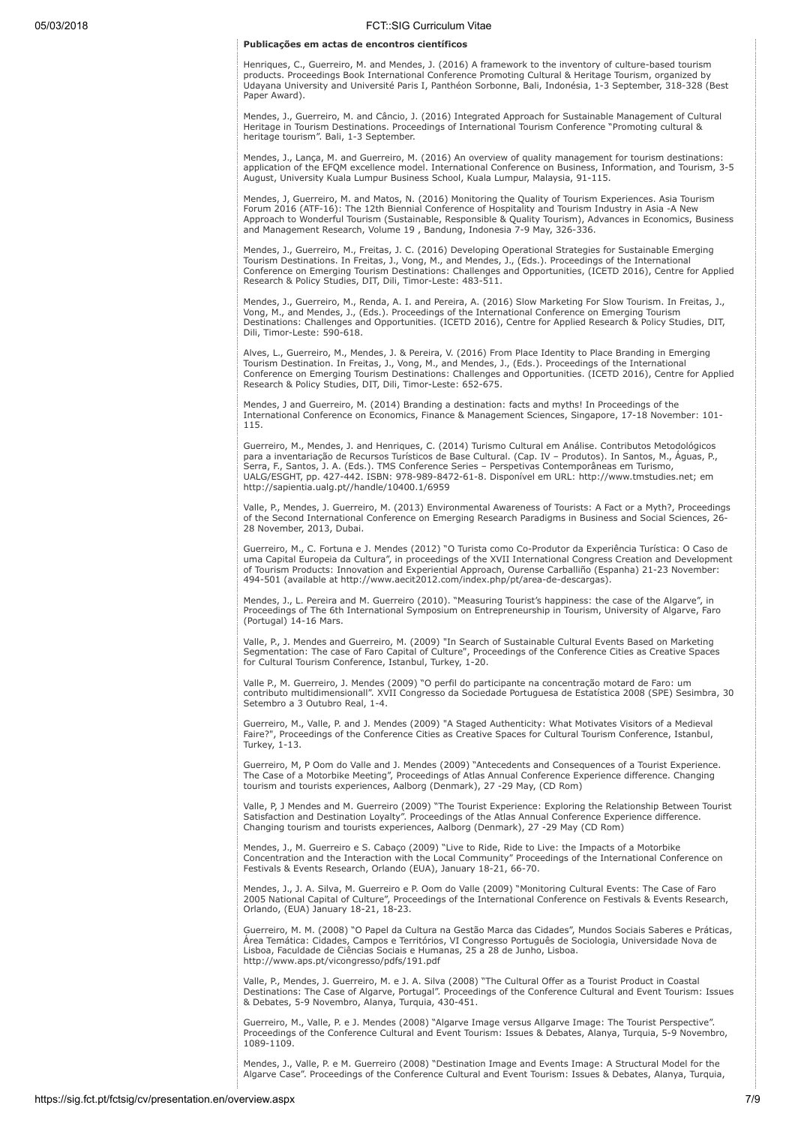# Publicações em actas de encontros científicos

Henriques, C., Guerreiro, M. and Mendes, J. (2016) A framework to the inventory of culture-based tourism products. Proceedings Book International Conference Promoting Cultural & Heritage Tourism, organized by Udayana University and Université Paris I, Panthéon Sorbonne, Bali, Indonésia, 1-3 September, 318-328 (Best Paper Award).

Mendes, J., Guerreiro, M. and Câncio, J. (2016) Integrated Approach for Sustainable Management of Cultural Heritage in Tourism Destinations. Proceedings of International Tourism Conference "Promoting cultural & heritage tourism". Bali, 1-3 September.

Mendes, J., Lança, M. and Guerreiro, M. (2016) An overview of quality management for tourism destinations: application of the EFQM excellence model. International Conference on Business, Information, and Tourism, 3-5 August, University Kuala Lumpur Business School, Kuala Lumpur, Malaysia, 91-115.

Mendes, J, Guerreiro, M. and Matos, N. (2016) Monitoring the Quality of Tourism Experiences. Asia Tourism Forum 2016 (ATF-16): The 12th Biennial Conference of Hospitality and Tourism Industry in Asia -A New<br>Approach to Wonderful Tourism (Sustainable, Responsible & Quality Tourism), Advances in Economics, Business<br>and Managemen

Mendes, J., Guerreiro, M., Freitas, J. C. (2016) Developing Operational Strategies for Sustainable Emerging<br>Tourism Destinations. In Freitas, J., Vong, M., and Mendes, J., (Eds.). Proceedings of the International<br>Conferenc Research & Policy Studies, DIT, Dili, Timor-Leste: 483-511.

Mendes, J., Guerreiro, M., Renda, A. I. and Pereira, A. (2016) Slow Marketing For Slow Tourism. In Freitas, J.,<br>Vong, M., and Mendes, J., (Eds.). Proceedings of the International Conference on Emerging Tourism Destinations: Challenges and Opportunities. (ICETD 2016), Centre for Applied Research & Policy Studies, DIT, Dili, Timor-Leste: 590-618.

Alves, L., Guerreiro, M., Mendes, J. & Pereira, V. (2016) From Place Identity to Place Branding in Emerging<br>Tourism Destination. In Freitas, J., Vong, M., and Mendes, J., (Eds.). Proceedings of the International Conference on Emerging Tourism Destinations: Challenges and Opportunities. (ICETD 2016), Centre for Applied Research & Policy Studies, DIT, Dili, Timor-Leste: 652-675.

Mendes, J and Guerreiro, M. (2014) Branding a destination: facts and myths! In Proceedings of the International Conference on Economics, Finance & Management Sciences, Singapore, 17-18 November: 101- 115.

Guerreiro, M., Mendes, J. and Henriques, C. (2014) Turismo Cultural em Análise. Contributos Metodológicos para a inventariação de Recursos Turísticos de Base Cultural. (Cap. IV – Produtos). In Santos, M., Àguas, P.,<br>Serra, F., Santos, J. A. (Eds.). TMS Conference Series – Perspetivas Contemporâneas em Turismo,<br>UALG/ESGHT, pp. http://sapientia.ualg.pt//handle/10400.1/6959

Valle, P., Mendes, J. Guerreiro, M. (2013) Environmental Awareness of Tourists: A Fact or a Myth?, Proceedings of the Second International Conference on Emerging Research Paradigms in Business and Social Sciences, 26- 28 November, 2013, Dubai.

Guerreiro, M., C. Fortuna e J. Mendes (2012) "O Turista como Co-Produtor da Experiência Turística: O Caso de uma Capital Europeia da Cultura", in proceedings of the XVII International Congress Creation and Development of Tourism Products: Innovation and Experiential Approach, Ourense Carballiño (Espanha) 21-23 November: 494-501 (available at http://www.aecit2012.com/index.php/pt/area-de-descargas).

Mendes, J., L. Pereira and M. Guerreiro (2010). "Measuring Tourist's happiness: the case of the Algarve", in Proceedings of The 6th International Symposium on Entrepreneurship in Tourism, University of Algarve, Faro (Portugal) 14-16 Mars.

Valle, P., J. Mendes and Guerreiro, M. (2009) "In Search of Sustainable Cultural Events Based on Marketing Segmentation: The case of Faro Capital of Culture", Proceedings of the Conference Cities as Creative Spaces for Cultural Tourism Conference, Istanbul, Turkey, 1-20.

Valle P., M. Guerreiro, J. Mendes (2009) "O perfil do participante na concentração motard de Faro: um contributo multidimensionall". XVII Congresso da Sociedade Portuguesa de Estatística 2008 (SPE) Sesimbra, 30 Setembro a 3 Outubro Real, 1-4.

Guerreiro, M., Valle, P. and J. Mendes (2009) "A Staged Authenticity: What Motivates Visitors of a Medieval Faire?", Proceedings of the Conference Cities as Creative Spaces for Cultural Tourism Conference, Istanbul, Turkey, 1-13.

Guerreiro, M, P Oom do Valle and J. Mendes (2009) "Antecedents and Consequences of a Tourist Experience. The Case of a Motorbike Meeting", Proceedings of Atlas Annual Conference Experience difference. Changing tourism and tourists experiences, Aalborg (Denmark), 27 -29 May, (CD Rom)

Valle, P, J Mendes and M. Guerreiro (2009) "The Tourist Experience: Exploring the Relationship Between Tourist<br>Satisfaction and Destination Loyalty". Proceedings of the Atlas Annual Conference Experience difference.<br>Changi

Mendes, J., M. Guerreiro e S. Cabaço (2009) "Live to Ride, Ride to Live: the Impacts of a Motorbike Concentration and the Interaction with the Local Community" Proceedings of the International Conference on Festivals & Events Research, Orlando (EUA), January 18-21, 66-70.

Mendes, J., J. A. Silva, M. Guerreiro e P. Oom do Valle (2009) "Monitoring Cultural Events: The Case of Faro 2005 National Capital of Culture", Proceedings of the International Conference on Festivals & Events Research, Orlando, (EUA) January 18-21, 18-23.

Guerreiro, M. M. (2008) "O Papel da Cultura na Gestão Marca das Cidades", Mundos Sociais Saberes e Práticas,<br>Área Temática: Cidades, Campos e Territórios, VI Congresso Português de Sociologia, Universidade Nova de<br>Lisboa, http://www.aps.pt/vicongresso/pdfs/191.pdf

Valle, P., Mendes, J. Guerreiro, M. e J. A. Silva (2008) "The Cultural Offer as a Tourist Product in Coastal Destinations: The Case of Algarve, Portugal". Proceedings of the Conference Cultural and Event Tourism: Issues & Debates, 5-9 Novembro, Alanya, Turquia, 430-451.

Guerreiro, M., Valle, P. e J. Mendes (2008) "Algarve Image versus Allgarve Image: The Tourist Perspective". Proceedings of the Conference Cultural and Event Tourism: Issues & Debates, Alanya, Turquia, 5-9 Novembro, 1089-1109.

Mendes, J., Valle, P. e M. Guerreiro (2008) "Destination Image and Events Image: A Structural Model for the Algarve Case". Proceedings of the Conference Cultural and Event Tourism: Issues & Debates, Alanya, Turquia,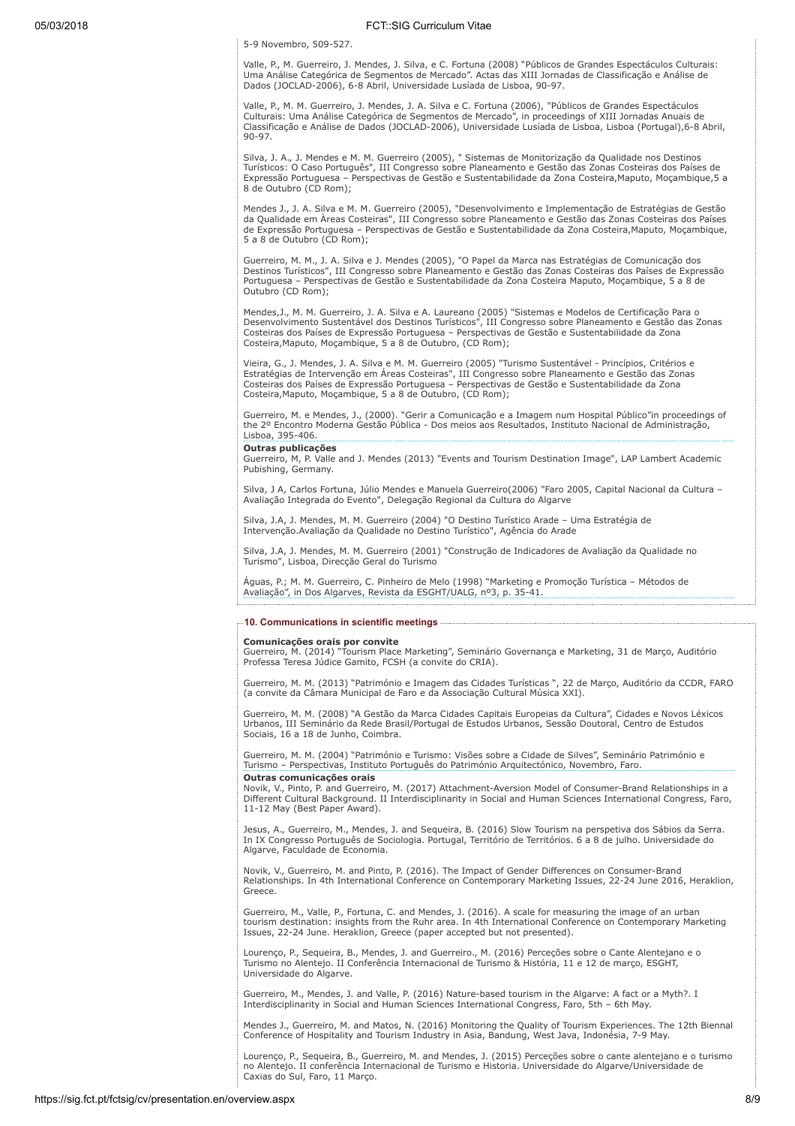5-9 Novembro, 509-527.

Valle, P., M. Guerreiro, J. Mendes, J. Silva, e C. Fortuna (2008) "Públicos de Grandes Espectáculos Culturais:<br>Uma Análise Categórica de Segmentos de Mercado". Actas das XIII Jornadas de Classificação e Análise de<br>Dados (J

Valle, P., M. M. Guerreiro, J. Mendes, J. A. Silva e C. Fortuna (2006), "Públicos de Grandes Espectáculos Culturais: Uma Análise Categórica de Segmentos de Mercado", in proceedings of XIII Jornadas Anuais de Classificação e Análise de Dados (JOCLAD-2006), Universidade Lusíada de Lisboa, Lisboa (Portugal),6-8 Abril, 90-97.

Silva, J. A., J. Mendes e M. M. Guerreiro (2005), " Sistemas de Monitorização da Qualidade nos Destinos Turísticos: O Caso Português", III Congresso sobre Planeamento e Gestão das Zonas Costeiras dos Países de Expressão Portuguesa – Perspectivas de Gestão e Sustentabilidade da Zona Costeira,Maputo, Moçambique,5 a 8 de Outubro (CD Rom);

Mendes J., J. A. Silva e M. M. Guerreiro (2005), "Desenvolvimento e Implementação de Estratégias de Gestão da Qualidade em Áreas Costeiras", III Congresso sobre Planeamento e Gestão das Zonas Costeiras dos Países<br>de Expressão Portuguesa – Perspectivas de Gestão e Sustentabilidade da Zona Costeira,Maputo, Moçambique, 5 a 8 de Outubro (CD Rom);

Guerreiro, M. M., J. A. Silva e J. Mendes (2005), "O Papel da Marca nas Estratégias de Comunicação dos Destinos Turísticos", III Congresso sobre Planeamento e Gestão das Zonas Costeiras dos Países de Expressão Portuguesa – Perspectivas de Gestão e Sustentabilidade da Zona Costeira Maputo, Moçambique, 5 a 8 de Outubro (CD Rom);

Mendes,J., M. M. Guerreiro, J. A. Silva e A. Laureano (2005) "Sistemas e Modelos de Certificação Para o Desenvolvimento Sustentável dos Destinos Turísticos", III Congresso sobre Planeamento e Gestão das Zonas Costeiras dos Países de Expressão Portuguesa – Perspectivas de Gestão e Sustentabilidade da Zona Costeira,Maputo, Moçambique, 5 a 8 de Outubro, (CD Rom);

Vieira, G., J. Mendes, J. A. Silva e M. M. Guerreiro (2005) "Turismo Sustentável - Princípios, Critérios e Estratégias de Intervenção em Áreas Costeiras", III Congresso sobre Planeamento e Gestão das Zonas Costeiras dos Países de Expressão Portuguesa – Perspectivas de Gestão e Sustentabilidade da Zona Costeira,Maputo, Moçambique, 5 a 8 de Outubro, (CD Rom);

Guerreiro, M. e Mendes, J., (2000). "Gerir a Comunicação e a Imagem num Hospital Público"in proceedings of the 2º Encontro Moderna Gestão Pública - Dos meios aos Resultados, Instituto Nacional de Administração, Lisboa, 395-406.

# Outras publicações

Guerreiro, M, P. Valle and J. Mendes (2013) "Events and Tourism Destination Image", LAP Lambert Academic Pubishing, Germany.

Silva, J A, Carlos Fortuna, Júlio Mendes e Manuela Guerreiro(2006) "Faro 2005, Capital Nacional da Cultura – Avaliação Integrada do Evento", Delegação Regional da Cultura do Algarve

Silva, J.A, J. Mendes, M. M. Guerreiro (2004) "O Destino Turístico Arade – Uma Estratégia de Intervenção.Avaliação da Qualidade no Destino Turístico", Agência do Arade

Silva, J.A, J. Mendes, M. M. Guerreiro (2001) "Construção de Indicadores de Avaliação da Qualidade no Turismo", Lisboa, Direcção Geral do Turismo

Águas, P.; M. M. Guerreiro, C. Pinheiro de Melo (1998) "Marketing e Promoção Turística – Métodos de Avaliação", in Dos Algarves, Revista da ESGHT/UALG, nº3, p. 35-41.

### 10. Communications in scientific meetings

**Comunicações orais por convite**<br>Guerreiro, M. (2014) "Tourism Place Marketing", Seminário Governança e Marketing, 31 de Março, Auditório Professa Teresa Júdice Gamito, FCSH (a convite do CRIA).

Guerreiro, M. M. (2013) "Património e Imagem das Cidades Turísticas ", 22 de Março, Auditório da CCDR, FARO (a convite da Câmara Municipal de Faro e da Associação Cultural Música XXI).

Guerreiro, M. M. (2008) "A Gestão da Marca Cidades Capitais Europeias da Cultura", Cidades e Novos Léxicos Urbanos, III Seminário da Rede Brasil/Portugal de Estudos Urbanos, Sessão Doutoral, Centro de Estudos Sociais, 16 a 18 de Junho, Coimbra.

Guerreiro, M. M. (2004) "Património e Turismo: Visões sobre a Cidade de Silves", Seminário Património e Turismo – Perspectivas, Instituto Português do Património Arquitectónico, Novembro, Faro. Outras comunicações orais

Novik, V., Pinto, P. and Guerreiro, M. (2017) Attachment-Aversion Model of Consumer-Brand Relationships in a Different Cultural Background. II Interdisciplinarity in Social and Human Sciences International Congress, Faro, 11-12 May (Best Paper Award).

Jesus, A., Guerreiro, M., Mendes, J. and Sequeira, B. (2016) Slow Tourism na perspetiva dos Sábios da Serra. In IX Congresso Português de Sociologia. Portugal, Território de Territórios. 6 a 8 de julho. Universidade do Algarve, Faculdade de Economia.

Novik, V., Guerreiro, M. and Pinto, P. (2016). The Impact of Gender Differences on Consumer-Brand Relationships. In 4th International Conference on Contemporary Marketing Issues, 22-24 June 2016, Heraklion, Greece.

Guerreiro, M., Valle, P., Fortuna, C. and Mendes, J. (2016). A scale for measuring the image of an urban tourism destination: insights from the Ruhr area. In 4th International Conference on Contemporary Marketing Issues, 22-24 June. Heraklion, Greece (paper accepted but not presented).

Lourenço, P., Sequeira, B., Mendes, J. and Guerreiro., M. (2016) Perceções sobre o Cante Alentejano e o Turismo no Alentejo. II Conferência Internacional de Turismo & História, 11 e 12 de março, ESGHT, Universidade do Algarve.

Guerreiro, M., Mendes, J. and Valle, P. (2016) Nature-based tourism in the Algarve: A fact or a Myth?. I Interdisciplinarity in Social and Human Sciences International Congress, Faro, 5th – 6th May.

Mendes J., Guerreiro, M. and Matos, N. (2016) Monitoring the Quality of Tourism Experiences. The 12th Biennal Conference of Hospitality and Tourism Industry in Asia, Bandung, West Java, Indonésia, 7-9 May.

Lourenço, P., Sequeira, B., Guerreiro, M. and Mendes, J. (2015) Perceções sobre o cante alentejano e o turismo no Alentejo. II conferência Internacional de Turismo e Historia. Universidade do Algarve/Universidade de Caxias do Sul, Faro, 11 Março.